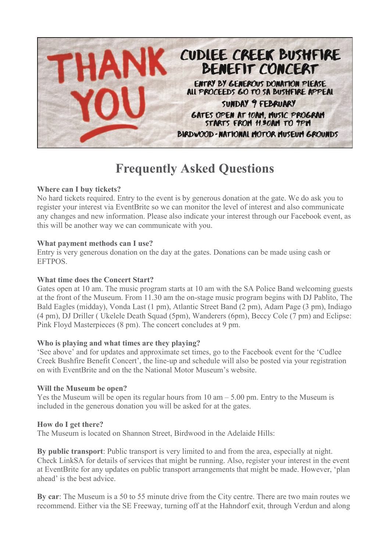

# **Frequently Asked Questions**

## **Where can I buy tickets?**

No hard tickets required. Entry to the event is by generous donation at the gate. We do ask you to register your interest via EventBrite so we can monitor the level of interest and also communicate any changes and new information. Please also indicate your interest through our Facebook event, as this will be another way we can communicate with you.

## **What payment methods can I use?**

Entry is very generous donation on the day at the gates. Donations can be made using cash or EFTPOS.

## **What time does the Concert Start?**

Gates open at 10 am. The music program starts at 10 am with the SA Police Band welcoming guests at the front of the Museum. From 11.30 am the on-stage music program begins with DJ Pablito, The Bald Eagles (midday), Vonda Last (1 pm), Atlantic Street Band (2 pm), Adam Page (3 pm), Indiago (4 pm), DJ Driller ( Ukelele Death Squad (5pm), Wanderers (6pm), Beccy Cole (7 pm) and Eclipse: Pink Floyd Masterpieces (8 pm). The concert concludes at 9 pm.

## **Who is playing and what times are they playing?**

'See above' and for updates and approximate set times, go to the Facebook event for the 'Cudlee Creek Bushfire Benefit Concert', the line-up and schedule will also be posted via your registration on with EventBrite and on the the National Motor Museum's website.

## **Will the Museum be open?**

Yes the Museum will be open its regular hours from  $10 \text{ am} - 5.00 \text{ pm}$ . Entry to the Museum is included in the generous donation you will be asked for at the gates.

#### **How do I get there?**

The Museum is located on Shannon Street, Birdwood in the Adelaide Hills:

**By public transport**: Public transport is very limited to and from the area, especially at night. Check LinkSA for details of services that might be running. Also, register your interest in the event at EventBrite for any updates on public transport arrangements that might be made. However, 'plan ahead' is the best advice.

**By car**: The Museum is a 50 to 55 minute drive from the City centre. There are two main routes we recommend. Either via the SE Freeway, turning off at the Hahndorf exit, through Verdun and along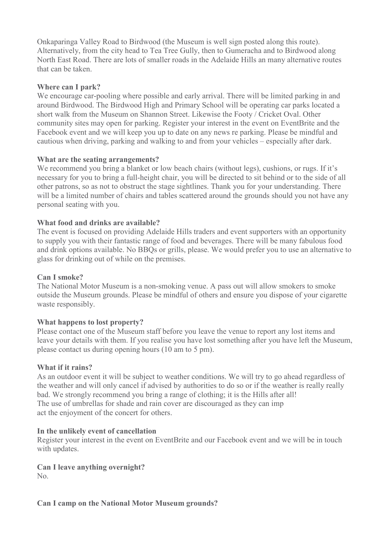Onkaparinga Valley Road to Birdwood (the Museum is well sign posted along this route). Alternatively, from the city head to Tea Tree Gully, then to Gumeracha and to Birdwood along North East Road. There are lots of smaller roads in the Adelaide Hills an many alternative routes that can be taken.

## **Where can I park?**

We encourage car-pooling where possible and early arrival. There will be limited parking in and around Birdwood. The Birdwood High and Primary School will be operating car parks located a short walk from the Museum on Shannon Street. Likewise the Footy / Cricket Oval. Other community sites may open for parking. Register your interest in the event on EventBrite and the Facebook event and we will keep you up to date on any news re parking. Please be mindful and cautious when driving, parking and walking to and from your vehicles – especially after dark.

## **What are the seating arrangements?**

We recommend you bring a blanket or low beach chairs (without legs), cushions, or rugs. If it's necessary for you to bring a full-height chair, you will be directed to sit behind or to the side of all other patrons, so as not to obstruct the stage sightlines. Thank you for your understanding. There will be a limited number of chairs and tables scattered around the grounds should you not have any personal seating with you.

# **What food and drinks are available?**

The event is focused on providing Adelaide Hills traders and event supporters with an opportunity to supply you with their fantastic range of food and beverages. There will be many fabulous food and drink options available. No BBQs or grills, please. We would prefer you to use an alternative to glass for drinking out of while on the premises.

## **Can I smoke?**

The National Motor Museum is a non-smoking venue. A pass out will allow smokers to smoke outside the Museum grounds. Please be mindful of others and ensure you dispose of your cigarette waste responsibly.

## **What happens to lost property?**

Please contact one of the Museum staff before you leave the venue to report any lost items and leave your details with them. If you realise you have lost something after you have left the Museum, please contact us during opening hours (10 am to 5 pm).

## **What if it rains?**

As an outdoor event it will be subject to weather conditions. We will try to go ahead regardless of the weather and will only cancel if advised by authorities to do so or if the weather is really really bad. We strongly recommend you bring a range of clothing; it is the Hills after all! The use of umbrellas for shade and rain cover are discouraged as they can imp act the enjoyment of the concert for others.

## **In the unlikely event of cancellation**

Register your interest in the event on EventBrite and our Facebook event and we will be in touch with updates.

**Can I leave anything overnight?** No.

## **Can I camp on the National Motor Museum grounds?**